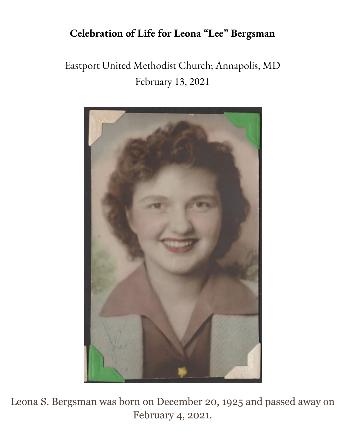## **Celebration of Life for Leona "Lee" Bergsman**

# Eastport United Methodist Church; Annapolis, MD February 13, 2021



Leona S. Bergsman was born on December 20, 1925 and passed away on February 4, 2021.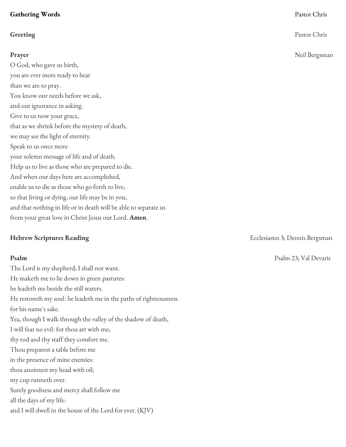### **Gathering Words** Pastor Chris

O God, who gave us birth, you are ever more ready to hear than we are to pray. You know our needs before we ask, and our ignorance in asking. Give to us now your grace, that as we shrink before the mystery of death, we may see the light of eternity. Speak to us once more your solemn message of life and of death. Help us to live as those who are prepared to die. And when our days here are accomplished, enable us to die as those who go forth to live, so that living or dying, our life may be in you, and that nothing in life or in death will be able to separate us from your great love in Christ Jesus our Lord. **Amen**.

### **Hebrew Scriptures Reading** Ecclesiastes 3; Dennis Bergsman

The Lord is my shepherd; I shall not want. He maketh me to lie down in green pastures: he leadeth me beside the still waters. He restoreth my soul: he leadeth me in the paths of righteousness for his name's sake. Yea, though I walk through the valley of the shadow of death, I will fear no evil: for thou art with me; thy rod and thy staff they comfort me. Thou preparest a table before me in the presence of mine enemies: thou anointest my head with oil; my cup runneth over. Surely goodness and mercy shall follow me all the days of my life: and I will dwell in the house of the Lord for ever. (KJV)

**Greeting** Pastor Chris

**Prayer** Neil Bergsman

**Psalm** Psalm 23; Val Devaris